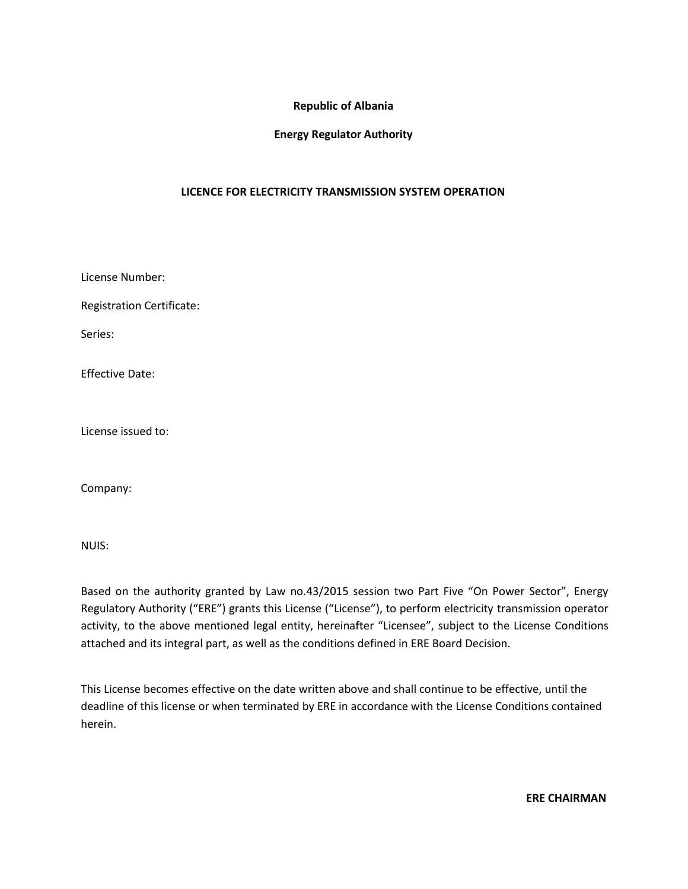### **Republic of Albania**

### **Energy Regulator Authority**

### **LICENCE FOR ELECTRICITY TRANSMISSION SYSTEM OPERATION**

License Number:

Registration Certificate:

Series:

Effective Date:

License issued to:

Company:

NUIS:

Based on the authority granted by Law no.43/2015 session two Part Five "On Power Sector", Energy Regulatory Authority ("ERE") grants this License ("License"), to perform electricity transmission operator activity, to the above mentioned legal entity, hereinafter "Licensee", subject to the License Conditions attached and its integral part, as well as the conditions defined in ERE Board Decision.

This License becomes effective on the date written above and shall continue to be effective, until the deadline of this license or when terminated by ERE in accordance with the License Conditions contained herein.

**ERE CHAIRMAN**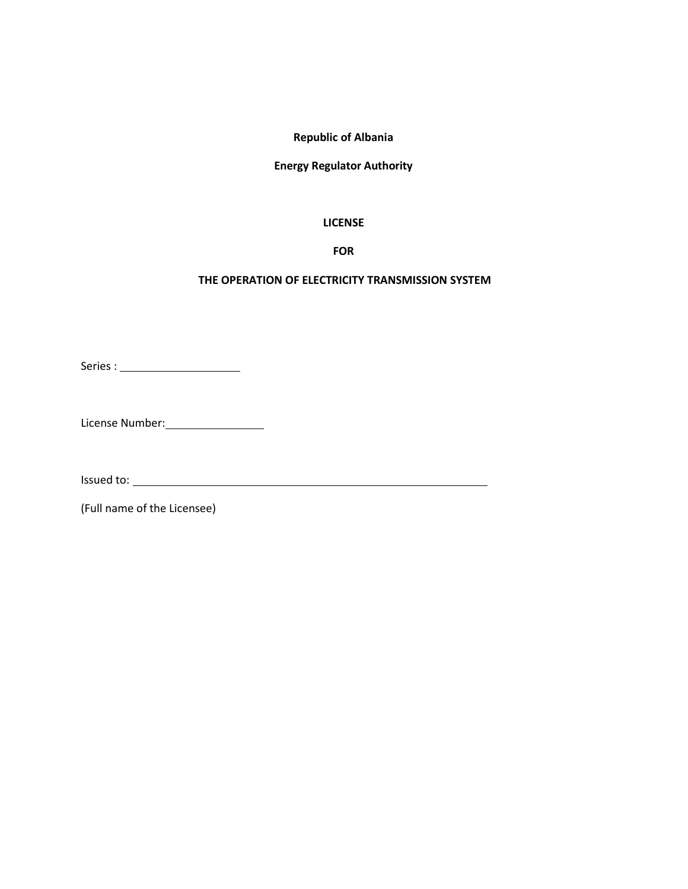### **Republic of Albania**

### **Energy Regulator Authority**

#### **LICENSE**

### **FOR**

#### **THE OPERATION OF ELECTRICITY TRANSMISSION SYSTEM**

Series :

License Number:

Issued to:

(Full name of the Licensee)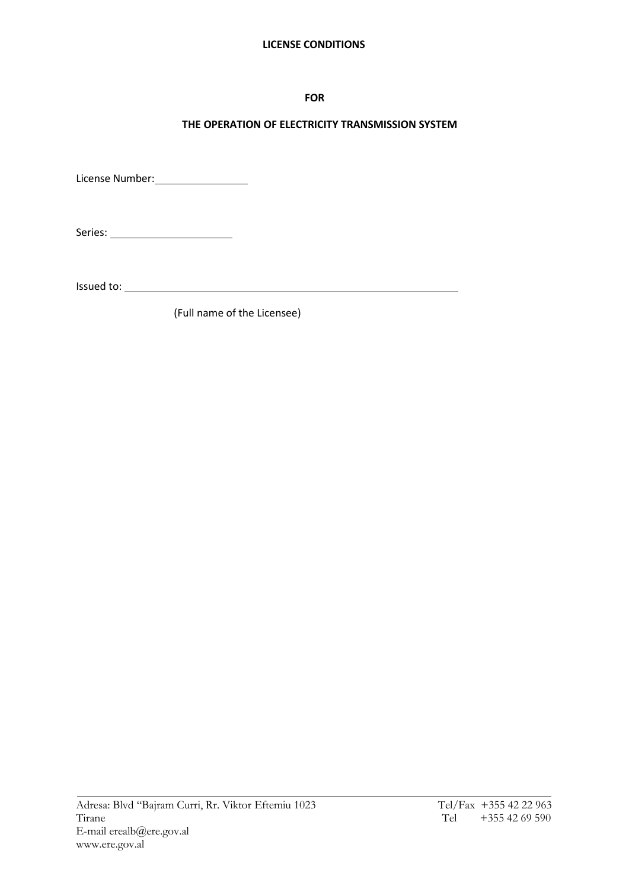### **LICENSE CONDITIONS**

### **FOR**

## **THE OPERATION OF ELECTRICITY TRANSMISSION SYSTEM**

License Number:

Series:

Issued to:

(Full name of the Licensee)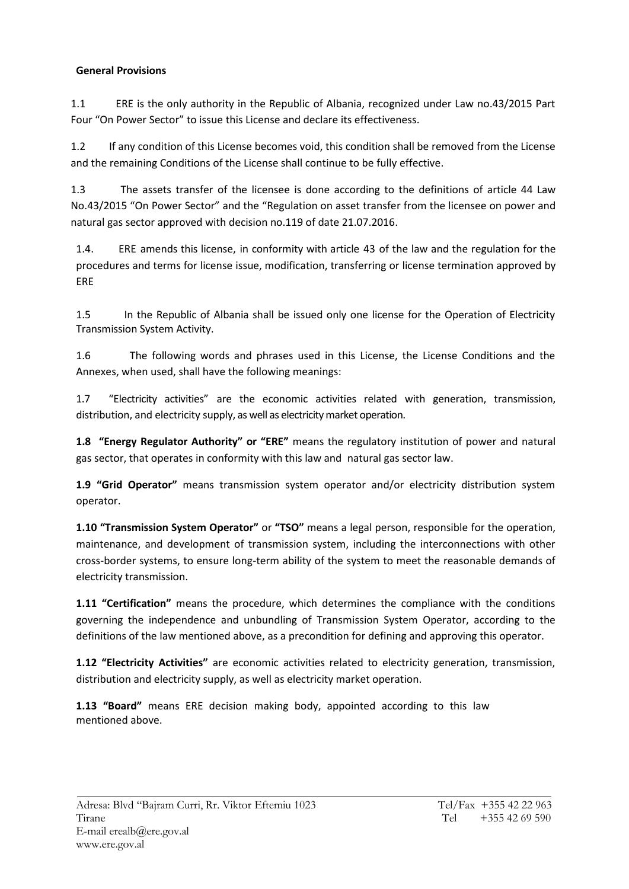## **General Provisions**

1.1 ERE is the only authority in the Republic of Albania, recognized under Law no.43/2015 Part Four "On Power Sector" to issue this License and declare its effectiveness.

1.2 If any condition of this License becomes void, this condition shall be removed from the License and the remaining Conditions of the License shall continue to be fully effective.

1.3 The assets transfer of the licensee is done according to the definitions of article 44 Law No.43/2015 "On Power Sector" and the "Regulation on asset transfer from the licensee on power and natural gas sector approved with decision no.119 of date 21.07.2016.

1.4. ERE amends this license, in conformity with article 43 of the law and the regulation for the procedures and terms for license issue, modification, transferring or license termination approved by ERE

1.5 In the Republic of Albania shall be issued only one license for the Operation of Electricity Transmission System Activity.

1.6 The following words and phrases used in this License, the License Conditions and the Annexes, when used, shall have the following meanings:

1.7 "Electricity activities" are the economic activities related with generation, transmission, distribution, and electricity supply, as well as electricity market operation.

**1.8 "Energy Regulator Authority" or "ERE"** means the regulatory institution of power and natural gas sector, that operates in conformity with this law and natural gas sector law.

**1.9 "Grid Operator"** means transmission system operator and/or electricity distribution system operator.

**1.10 "Transmission System Operator"** or **"TSO"** means a legal person, responsible for the operation, maintenance, and development of transmission system, including the interconnections with other cross-border systems, to ensure long-term ability of the system to meet the reasonable demands of electricity transmission.

**1.11 "Certification"** means the procedure, which determines the compliance with the conditions governing the independence and unbundling of Transmission System Operator, according to the definitions of the law mentioned above, as a precondition for defining and approving this operator.

**1.12 "Electricity Activities"** are economic activities related to electricity generation, transmission, distribution and electricity supply, as well as electricity market operation.

**1.13 "Board"** means ERE decision making body, appointed according to this law mentioned above.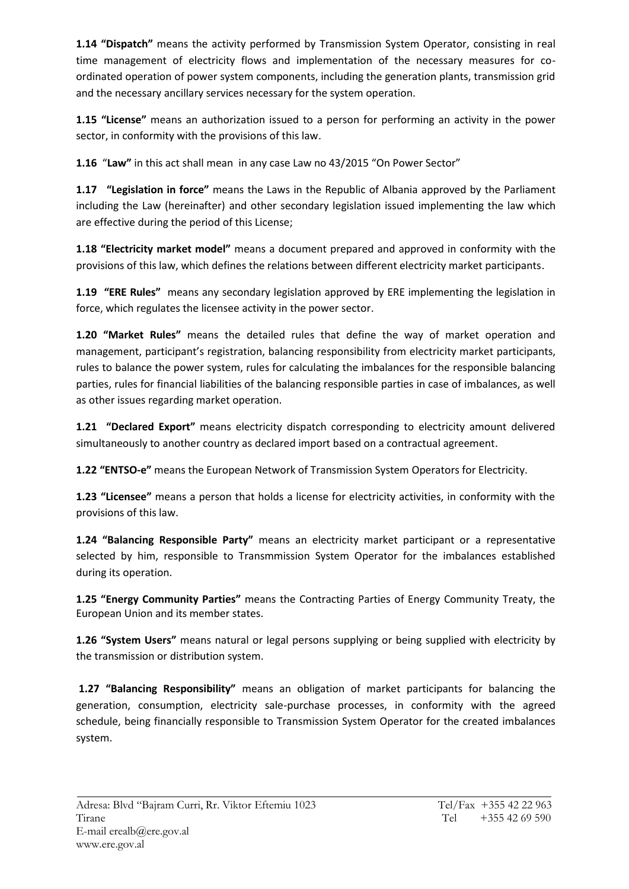**1.14 "Dispatch"** means the activity performed by Transmission System Operator, consisting in real time management of electricity flows and implementation of the necessary measures for co ordinated operation of power system components, including the generation plants, transmission grid and the necessary ancillary services necessary for the system operation.

**1.15 "License"** means an authorization issued to a person for performing an activity in the power sector, in conformity with the provisions of this law.

**1.16** "**Law"** in this act shall mean in any case Law no 43/2015 "On Power Sector"

**1.17 "Legislation in force"** means the Laws in the Republic of Albania approved by the Parliament including the Law (hereinafter) and other secondary legislation issued implementing the law which are effective during the period of this License;

**1.18 "Electricity market model"** means a document prepared and approved in conformity with the provisions of this law, which defines the relations between different electricity market participants.

**1.19 "ERE Rules"** means any secondary legislation approved by ERE implementing the legislation in force, which regulates the licensee activity in the power sector.

**1.20 "Market Rules"** means the detailed rules that define the way of market operation and management, participant's registration, balancing responsibility from electricity market participants, rules to balance the power system, rules for calculating the imbalances for the responsible balancing parties, rules for financial liabilities of the balancing responsible parties in case of imbalances, as well as other issues regarding market operation.

**1.21 "Declared Export"** means electricity dispatch corresponding to electricity amount delivered simultaneously to another country as declared import based on a contractual agreement.

**1.22 "ENTSO-e"** means the European Network of Transmission System Operators for Electricity.

**1.23 "Licensee"** means a person that holds a license for electricity activities, in conformity with the provisions of this law.

**1.24 "Balancing Responsible Party"** means an electricity market participant or a representative selected by him, responsible to Transmmission System Operator for the imbalances established during its operation.

**1.25 "Energy Community Parties"** means the Contracting Parties of Energy Community Treaty, the European Union and its member states.

**1.26 "System Users"** means natural or legal persons supplying or being supplied with electricity by the transmission or distribution system.

**1.27 "Balancing Responsibility"** means an obligation of market participants for balancing the generation, consumption, electricity sale-purchase processes, in conformity with the agreed schedule, being financially responsible to Transmission System Operator for the created imbalances system.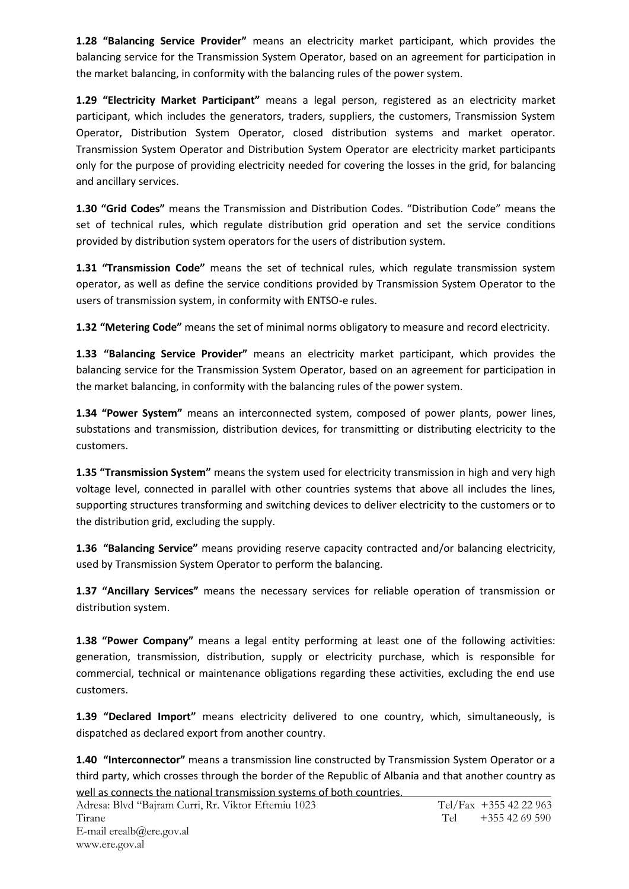**1.28 "Balancing Service Provider"** means an electricity market participant, which provides the balancing service for the Transmission System Operator, based on an agreement for participation in the market balancing, in conformity with the balancing rules of the power system.

**1.29 "Electricity Market Participant"** means a legal person, registered as an electricity market participant, which includes the generators, traders, suppliers, the customers, Transmission System Operator, Distribution System Operator, closed distribution systems and market operator. Transmission System Operator and Distribution System Operator are electricity market participants only for the purpose of providing electricity needed for covering the losses in the grid, for balancing and ancillary services.

**1.30 "Grid Codes"** means the Transmission and Distribution Codes. "Distribution Code" means the set of technical rules, which regulate distribution grid operation and set the service conditions provided by distribution system operators for the users of distribution system.

**1.31 "Transmission Code"** means the set of technical rules, which regulate transmission system operator, as well as define the service conditions provided by Transmission System Operator to the users of transmission system, in conformity with ENTSO-e rules.

**1.32 "Metering Code"** means the set of minimal norms obligatory to measure and record electricity.

**1.33 "Balancing Service Provider"** means an electricity market participant, which provides the balancing service for the Transmission System Operator, based on an agreement for participation in the market balancing, in conformity with the balancing rules of the power system.

**1.34 "Power System"** means an interconnected system, composed of power plants, power lines, substations and transmission, distribution devices, for transmitting or distributing electricity to the customers.

**1.35 "Transmission System"** means the system used for electricity transmission in high and very high voltage level, connected in parallel with other countries systems that above all includes the lines, supporting structures transforming and switching devices to deliver electricity to the customers or to the distribution grid, excluding the supply.

**1.36 "Balancing Service"** means providing reserve capacity contracted and/or balancing electricity, used by Transmission System Operator to perform the balancing.

**1.37 "Ancillary Services"** means the necessary services for reliable operation of transmission or distribution system.

**1.38 "Power Company"** means a legal entity performing at least one of the following activities: generation, transmission, distribution, supply or electricity purchase, which is responsible for commercial, technical or maintenance obligations regarding these activities, excluding the end use customers.

**1.39 "Declared Import"** means electricity delivered to one country, which, simultaneously, is dispatched as declared export from another country.

**1.40 "Interconnector"** means a transmission line constructed by Transmission System Operator or a third party, which crosses through the border of the Republic of Albania and that another country as well as connects the national transmission systems of both countries.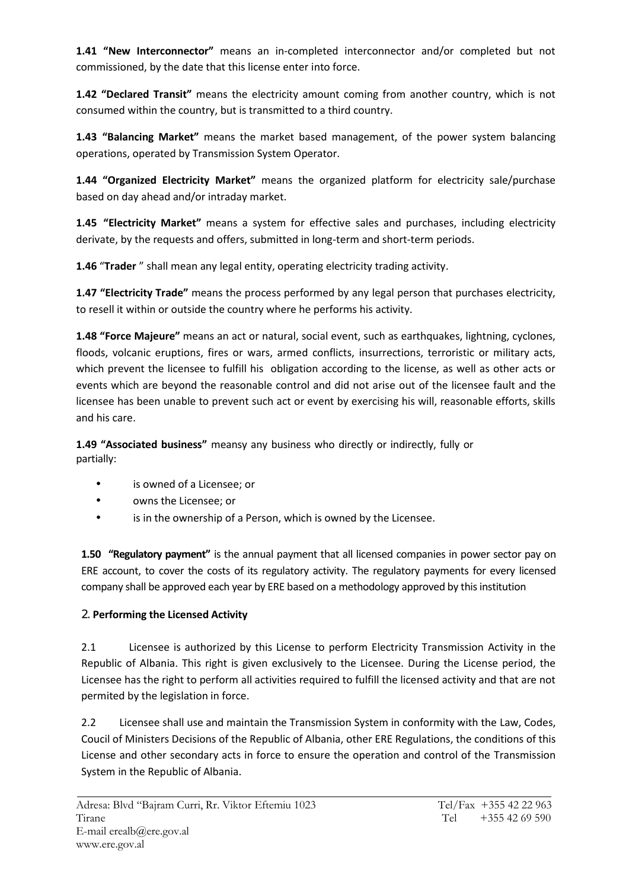**1.41 "New Interconnector"** means an in-completed interconnector and/or completed but not commissioned, by the date that this license enter into force.

**1.42 "Declared Transit"** means the electricity amount coming from another country, which is not consumed within the country, but is transmitted to a third country.

**1.43 "Balancing Market"** means the market based management, of the power system balancing operations, operated by Transmission System Operator.

**1.44 "Organized Electricity Market"** means the organized platform for electricity sale/purchase based on day ahead and/or intraday market.

**1.45 "Electricity Market"** means a system for effective sales and purchases, including electricity derivate, by the requests and offers, submitted in long-term and short-term periods.

**1.46** "**Trader** " shall mean any legal entity, operating electricity trading activity.

**1.47 "Electricity Trade"** means the process performed by any legal person that purchases electricity, to resell it within or outside the country where he performs his activity.

**1.48 "Force Majeure"** means an act or natural, social event, such as earthquakes, lightning, cyclones, floods, volcanic eruptions, fires or wars, armed conflicts, insurrections, terroristic or military acts, which prevent the licensee to fulfill his obligation according to the license, as well as other acts or events which are beyond the reasonable control and did not arise out of the licensee fault and the licensee has been unable to prevent such act or event by exercising his will, reasonable efforts, skills and his care.

**1.49 "Associated business"** meansy any business who directly or indirectly, fully or partially:

- is owned of a Licensee; or
- owns the Licensee; or
- is in the ownership of a Person, which is owned by the Licensee.

**1.50 "Regulatory payment"** is the annual payment that all licensed companies in power sector pay on ERE account, to cover the costs of its regulatory activity. The regulatory payments for every licensed company shall be approved each year by ERE based on a methodology approved by this institution

## **Performing the Licensed Activity**

2.1 Licensee is authorized by this License to perform Electricity Transmission Activity in the Republic of Albania. This right is given exclusively to the Licensee. During the License period, the Licensee has the right to perform all activities required to fulfill the licensed activity and that are not permited by the legislation in force.

2.2 Licensee shall use and maintain the Transmission System in conformity with the Law, Codes, Coucil of Ministers Decisions of the Republic of Albania, other ERE Regulations, the conditions of this License and other secondary acts in force to ensure the operation and control of the Transmission System in the Republic of Albania.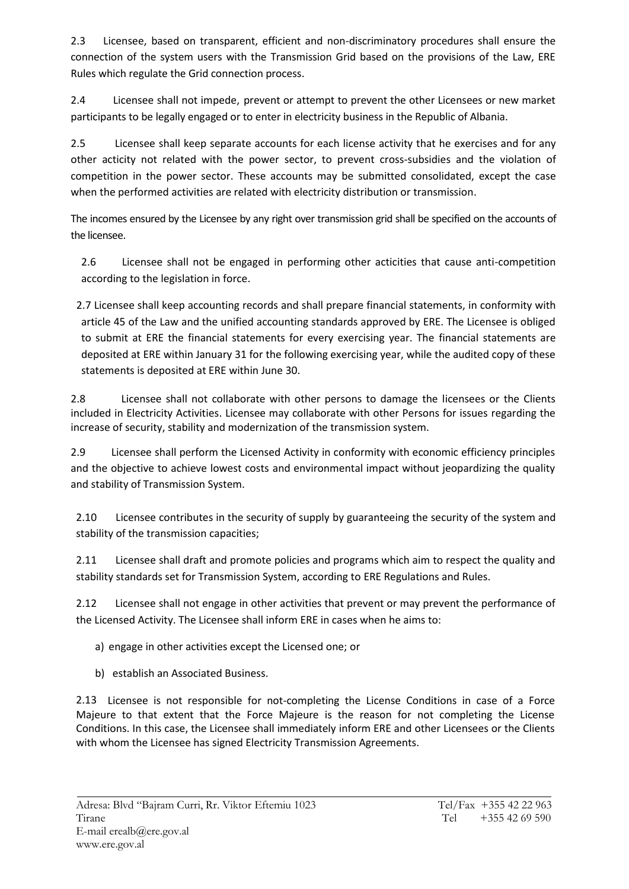2.3 Licensee, based on transparent, efficient and non-discriminatory procedures shall ensure the connection of the system users with the Transmission Grid based on the provisions of the Law, ERE Rules which regulate the Grid connection process.

2.4 Licensee shall not impede, prevent or attempt to prevent the other Licensees or new market participants to be legally engaged or to enter in electricity business in the Republic of Albania.

2.5 Licensee shall keep separate accounts for each license activity that he exercises and for any other acticity not related with the power sector, to prevent cross-subsidies and the violation of competition in the power sector. These accounts may be submitted consolidated, except the case when the performed activities are related with electricity distribution or transmission.

The incomes ensured by the Licensee by any right over transmission grid shall be specified on the accounts of the licensee.

2.6 Licensee shall not be engaged in performing other acticities that cause anti-competition according to the legislation in force.

2.7 Licensee shall keep accounting records and shall prepare financial statements, in conformity with article 45 of the Law and the unified accounting standards approved by ERE. The Licensee is obliged to submit at ERE the financial statements for every exercising year. The financial statements are deposited at ERE within January 31 for the following exercising year, while the audited copy of these statements is deposited at ERE within June 30.

2.8 Licensee shall not collaborate with other persons to damage the licensees or the Clients included in Electricity Activities. Licensee may collaborate with other Persons for issues regarding the increase of security, stability and modernization of the transmission system.

2.9 Licensee shall perform the Licensed Activity in conformity with economic efficiency principles and the objective to achieve lowest costs and environmental impact without jeopardizing the quality and stability of Transmission System.

2.10 Licensee contributes in the security of supply by guaranteeing the security of the system and stability of the transmission capacities;

2.11 Licensee shall draft and promote policies and programs which aim to respect the quality and stability standards set for Transmission System, according to ERE Regulations and Rules.

2.12 Licensee shall not engage in other activities that prevent or may prevent the performance of the Licensed Activity. The Licensee shall inform ERE in cases when he aims to:

a) engage in other activities except the Licensed one; or

b) establish an Associated Business.

2.13 Licensee is not responsible for not-completing the License Conditions in case of a Force Majeure to that extent that the Force Majeure is the reason for not completing the License Conditions. In this case, the Licensee shall immediately inform ERE and other Licensees or the Clients with whom the Licensee has signed Electricity Transmission Agreements.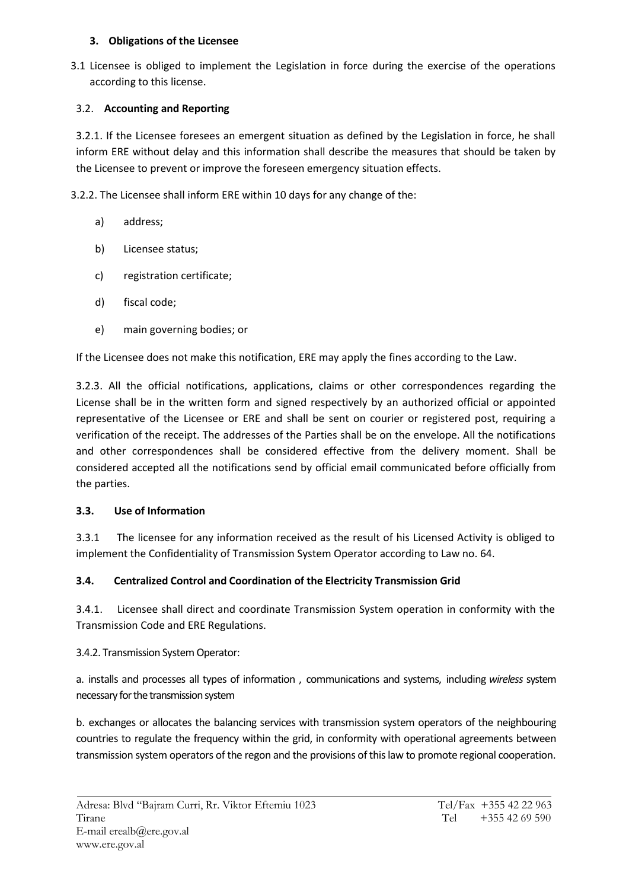### **3. Obligations of the Licensee**

3.1 Licensee is obliged to implement the Legislation in force during the exercise of the operations according to this license.

## 3.2. **Accounting and Reporting**

3.2.1. If the Licensee foresees an emergent situation as defined by the Legislation in force, he shall inform ERE without delay and this information shall describe the measures that should be taken by the Licensee to prevent or improve the foreseen emergency situation effects.

3.2.2. The Licensee shall inform ERE within 10 days for any change of the:

- a) address;
- b) Licensee status;
- c) registration certificate;
- d) fiscal code;
- e) main governing bodies; or

If the Licensee does not make this notification, ERE may apply the fines according to the Law.

3.2.3. All the official notifications, applications, claims or other correspondences regarding the License shall be in the written form and signed respectively by an authorized official or appointed representative of the Licensee or ERE and shall be sent on courier or registered post, requiring a verification of the receipt. The addresses of the Parties shall be on the envelope. All the notifications and other correspondences shall be considered effective from the delivery moment. Shall be considered accepted all the notifications send by official email communicated before officially from the parties.

## **3.3. Use of Information**

3.3.1 The licensee for any information received as the result of his Licensed Activity is obliged to implement the Confidentiality of Transmission System Operator according to Law no. 64.

## **3.4. Centralized Control and Coordination of the Electricity Transmission Grid**

3.4.1. Licensee shall direct and coordinate Transmission System operation in conformity with the Transmission Code and ERE Regulations.

3.4.2. Transmission System Operator:

a. installs and processes all types of information , communications and systems, including *wireless* system necessary for the transmission system

b. exchanges or allocates the balancing services with transmission system operators of the neighbouring countries to regulate the frequency within the grid, in conformity with operational agreements between transmission system operators of the regon and the provisions of this law to promote regional cooperation.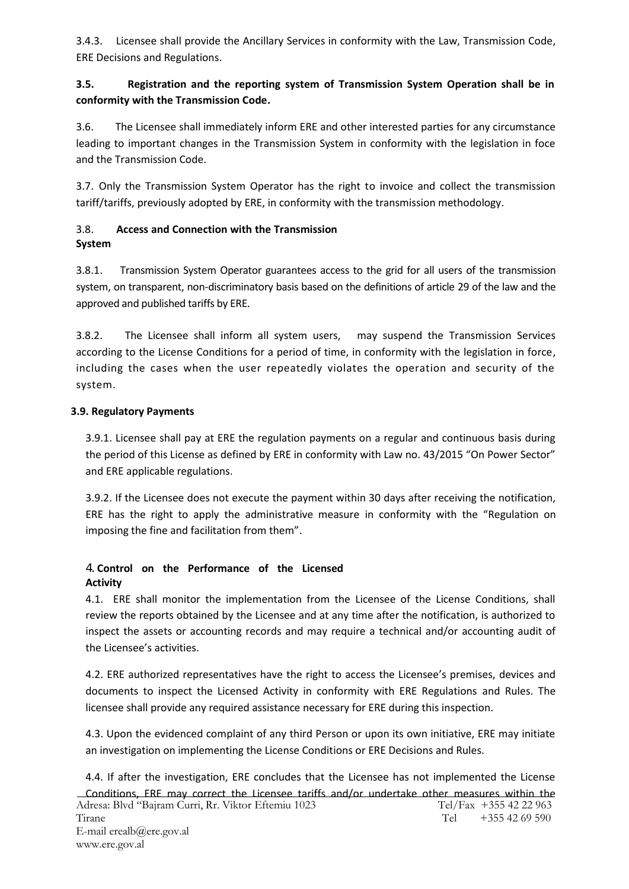3.4.3. Licensee shall provide the Ancillary Services in conformity with the Law, Transmission Code, ERE Decisions and Regulations.

## **3.5. Registration and the reporting system of Transmission System Operation shall be in conformity with the Transmission Code.**

3.6. The Licensee shall immediately inform ERE and other interested parties for any circumstance leading to important changes in the Transmission System in conformity with the legislation in foce and the Transmission Code.

3.7. Only the Transmission System Operator has the right to invoice and collect the transmission tariff/tariffs, previously adopted by ERE, in conformity with the transmission methodology.

## 3.8. **Access and Connection with the Transmission System**

3.8.1. Transmission System Operator guarantees access to the grid for all users of the transmission system, on transparent, non-discriminatory basis based on the definitions of article 29 of the law and the approved and published tariffs by ERE.

3.8.2. The Licensee shall inform all system users, may suspend the Transmission Services according to the License Conditions for a period of time, in conformity with the legislation in force, including the cases when the user repeatedly violates the operation and security of the system.

## **3.9. Regulatory Payments**

3.9.1. Licensee shall pay at ERE the regulation payments on a regular and continuous basis during the period of this License as defined by ERE in conformity with Law no. 43/2015 "On Power Sector" and ERE applicable regulations.

3.9.2. If the Licensee does not execute the payment within 30 days after receiving the notification, ERE has the right to apply the administrative measure in conformity with the "Regulation on imposing the fine and facilitation from them".

### **Control on the Performance of the Licensed Activity**

4.1. ERE shall monitor the implementation from the Licensee of the License Conditions, shall review the reports obtained by the Licensee and at any time after the notification, is authorized to inspect the assets or accounting records and may require a technical and/or accounting audit of the Licensee's activities.

4.2. ERE authorized representatives have the right to access the Licensee's premises, devices and documents to inspect the Licensed Activity in conformity with ERE Regulations and Rules. The licensee shall provide any required assistance necessary for ERE during this inspection.

4.3. Upon the evidenced complaint of any third Person or upon its own initiative, ERE may initiate an investigation on implementing the License Conditions or ERE Decisions and Rules.

4.4. If after the investigation, ERE concludes that the Licensee has not implemented the License Conditions, ERE may correct the Licensee tariffs and/or undertake other measures within the